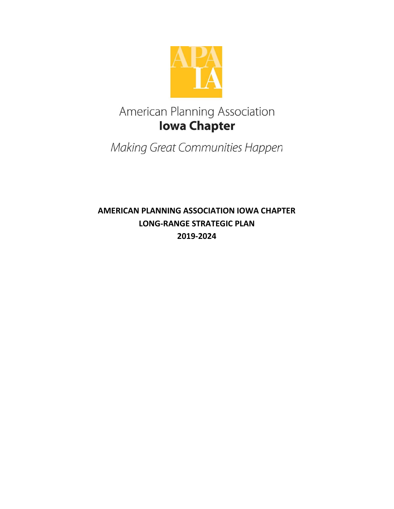

# American Planning Association **Iowa Chapter**

Making Great Communities Happen

AMERICAN PLANNING ASSOCIATION IOWA CHAPTER LONG-RANGE STRATEGIC PLAN 2019-2024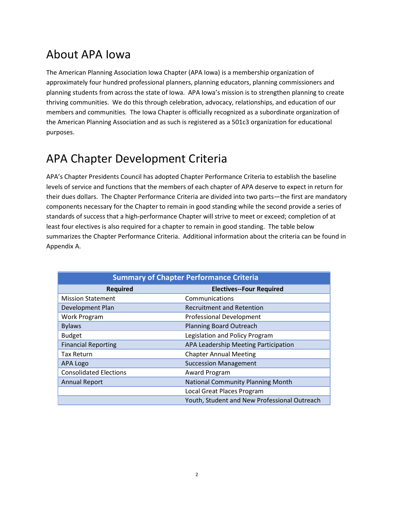## About APA Iowa

The American Planning Association Iowa Chapter (APA Iowa) is a membership organization of approximately four hundred professional planners, planning educators, planning commissioners and planning students from across the state of Iowa. APA Iowa's mission is to strengthen planning to create thriving communities. We do this through celebration, advocacy, relationships, and education of our members and communities. The Iowa Chapter is officially recognized as a subordinate organization of the American Planning Association and as such is registered as a 501c3 organization for educational purposes.

# APA Chapter Development Criteria

APA's Chapter Presidents Council has adopted Chapter Performance Criteria to establish the baseline levels of service and functions that the members of each chapter of APA deserve to expect in return for their dues dollars. The Chapter Performance Criteria are divided into two parts—the first are mandatory components necessary for the Chapter to remain in good standing while the second provide a series of standards of success that a high-performance Chapter will strive to meet or exceed; completion of at least four electives is also required for a chapter to remain in good standing. The table below summarizes the Chapter Performance Criteria. Additional information about the criteria can be found in Appendix A.

| <b>Summary of Chapter Performance Criteria</b> |                                              |
|------------------------------------------------|----------------------------------------------|
| <b>Required</b>                                | <b>Electives--Four Required</b>              |
| <b>Mission Statement</b>                       | Communications                               |
| Development Plan                               | <b>Recruitment and Retention</b>             |
| Work Program                                   | <b>Professional Development</b>              |
| <b>Bylaws</b>                                  | <b>Planning Board Outreach</b>               |
| <b>Budget</b>                                  | Legislation and Policy Program               |
| <b>Financial Reporting</b>                     | APA Leadership Meeting Participation         |
| <b>Tax Return</b>                              | <b>Chapter Annual Meeting</b>                |
| APA Logo                                       | <b>Succession Management</b>                 |
| <b>Consolidated Elections</b>                  | Award Program                                |
| <b>Annual Report</b>                           | <b>National Community Planning Month</b>     |
|                                                | Local Great Places Program                   |
|                                                | Youth, Student and New Professional Outreach |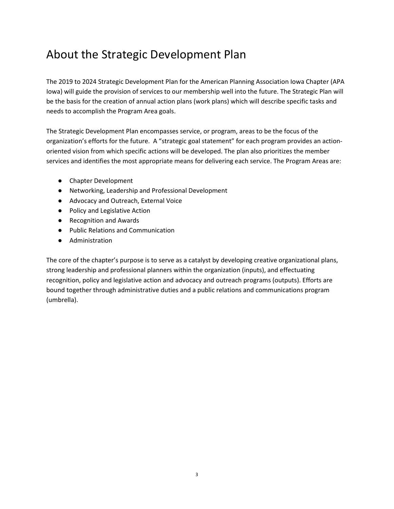## About the Strategic Development Plan

The 2019 to 2024 Strategic Development Plan for the American Planning Association Iowa Chapter (APA Iowa) will guide the provision of services to our membership well into the future. The Strategic Plan will be the basis for the creation of annual action plans (work plans) which will describe specific tasks and needs to accomplish the Program Area goals.

The Strategic Development Plan encompasses service, or program, areas to be the focus of the organization's efforts for the future. A "strategic goal statement" for each program provides an actionoriented vision from which specific actions will be developed. The plan also prioritizes the member services and identifies the most appropriate means for delivering each service. The Program Areas are:

- Chapter Development
- Networking, Leadership and Professional Development
- Advocacy and Outreach, External Voice
- Policy and Legislative Action
- Recognition and Awards
- Public Relations and Communication
- Administration

The core of the chapter's purpose is to serve as a catalyst by developing creative organizational plans, strong leadership and professional planners within the organization (inputs), and effectuating recognition, policy and legislative action and advocacy and outreach programs (outputs). Efforts are bound together through administrative duties and a public relations and communications program (umbrella).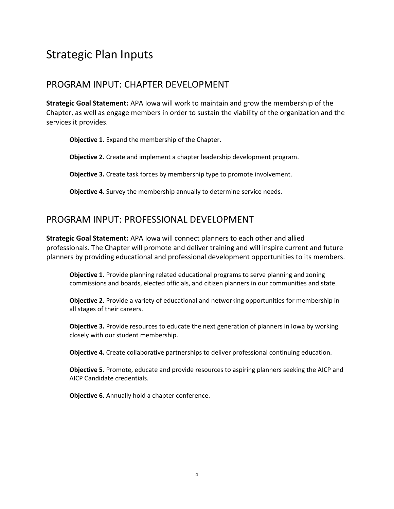## Strategic Plan Inputs

#### PROGRAM INPUT: CHAPTER DEVELOPMENT

Strategic Goal Statement: APA Iowa will work to maintain and grow the membership of the Chapter, as well as engage members in order to sustain the viability of the organization and the services it provides.

Objective 1. Expand the membership of the Chapter.

Objective 2. Create and implement a chapter leadership development program.

**Objective 3.** Create task forces by membership type to promote involvement.

Objective 4. Survey the membership annually to determine service needs.

#### PROGRAM INPUT: PROFESSIONAL DEVELOPMENT

Strategic Goal Statement: APA Iowa will connect planners to each other and allied professionals. The Chapter will promote and deliver training and will inspire current and future planners by providing educational and professional development opportunities to its members.

Objective 1. Provide planning related educational programs to serve planning and zoning commissions and boards, elected officials, and citizen planners in our communities and state.

Objective 2. Provide a variety of educational and networking opportunities for membership in all stages of their careers.

Objective 3. Provide resources to educate the next generation of planners in Iowa by working closely with our student membership.

Objective 4. Create collaborative partnerships to deliver professional continuing education.

**Objective 5.** Promote, educate and provide resources to aspiring planners seeking the AICP and AICP Candidate credentials.

Objective 6. Annually hold a chapter conference.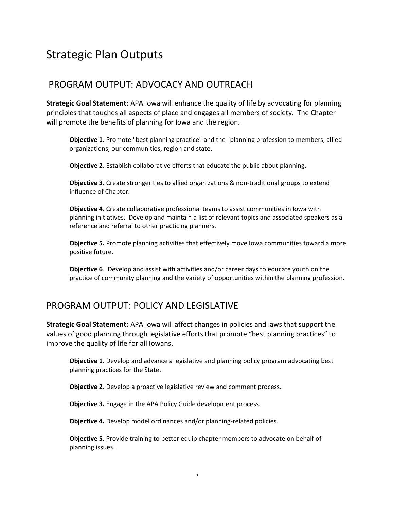## Strategic Plan Outputs

### PROGRAM OUTPUT: ADVOCACY AND OUTREACH

Strategic Goal Statement: APA Iowa will enhance the quality of life by advocating for planning principles that touches all aspects of place and engages all members of society. The Chapter will promote the benefits of planning for Iowa and the region.

Objective 1. Promote "best planning practice" and the "planning profession to members, allied organizations, our communities, region and state.

Objective 2. Establish collaborative efforts that educate the public about planning.

**Objective 3.** Create stronger ties to allied organizations & non-traditional groups to extend influence of Chapter.

Objective 4. Create collaborative professional teams to assist communities in Iowa with planning initiatives. Develop and maintain a list of relevant topics and associated speakers as a reference and referral to other practicing planners.

Objective 5. Promote planning activities that effectively move Iowa communities toward a more positive future.

Objective 6. Develop and assist with activities and/or career days to educate youth on the practice of community planning and the variety of opportunities within the planning profession.

### PROGRAM OUTPUT: POLICY AND LEGISLATIVE

Strategic Goal Statement: APA Iowa will affect changes in policies and laws that support the values of good planning through legislative efforts that promote "best planning practices" to improve the quality of life for all Iowans.

**Objective 1.** Develop and advance a legislative and planning policy program advocating best planning practices for the State.

**Objective 2.** Develop a proactive legislative review and comment process.

**Objective 3.** Engage in the APA Policy Guide development process.

Objective 4. Develop model ordinances and/or planning-related policies.

Objective 5. Provide training to better equip chapter members to advocate on behalf of planning issues.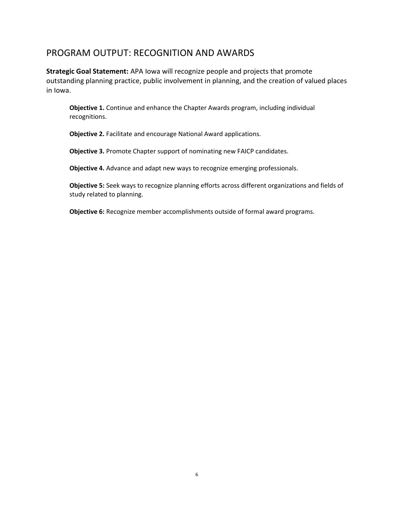#### PROGRAM OUTPUT: RECOGNITION AND AWARDS

Strategic Goal Statement: APA Iowa will recognize people and projects that promote outstanding planning practice, public involvement in planning, and the creation of valued places in Iowa.

Objective 1. Continue and enhance the Chapter Awards program, including individual recognitions.

Objective 2. Facilitate and encourage National Award applications.

Objective 3. Promote Chapter support of nominating new FAICP candidates.

Objective 4. Advance and adapt new ways to recognize emerging professionals.

Objective 5: Seek ways to recognize planning efforts across different organizations and fields of study related to planning.

Objective 6: Recognize member accomplishments outside of formal award programs.